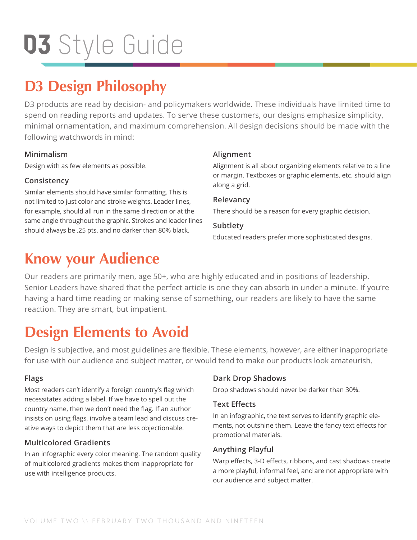# **03** Style Guide

## **D3 Design Philosophy**

D3 products are read by decision- and policymakers worldwide. These individuals have limited time to spend on reading reports and updates. To serve these customers, our designs emphasize simplicity, minimal ornamentation, and maximum comprehension. All design decisions should be made with the following watchwords in mind:

## **Minimalism**

Design with as few elements as possible.

## **Consistency**

Similar elements should have similar formatting. This is not limited to just color and stroke weights. Leader lines, for example, should all run in the same direction or at the same angle throughout the graphic. Strokes and leader lines should always be .25 pts. and no darker than 80% black.

## **Know your Audience**

## **Alignment**

Alignment is all about organizing elements relative to a line or margin. Textboxes or graphic elements, etc. should align along a grid.

## **Relevancy**

There should be a reason for every graphic decision.

## **Subtlety**

Educated readers prefer more sophisticated designs.

Our readers are primarily men, age 50+, who are highly educated and in positions of leadership. Senior Leaders have shared that the perfect article is one they can absorb in under a minute. If you're having a hard time reading or making sense of something, our readers are likely to have the same reaction. They are smart, but impatient.

## **Design Elements to Avoid**

Design is subjective, and most guidelines are flexible. These elements, however, are either inappropriate for use with our audience and subject matter, or would tend to make our products look amateurish.

## **Flags**

Most readers can't identify a foreign country's flag which necessitates adding a label. If we have to spell out the country name, then we don't need the flag. If an author insists on using flags, involve a team lead and discuss creative ways to depict them that are less objectionable.

## **Multicolored Gradients**

In an infographic every color meaning. The random quality of multicolored gradients makes them inappropriate for use with intelligence products.

## **Dark Drop Shadows**

Drop shadows should never be darker than 30%.

## **Text Effects**

In an infographic, the text serves to identify graphic elements, not outshine them. Leave the fancy text effects for promotional materials.

## **Anything Playful**

Warp effects, 3-D effects, ribbons, and cast shadows create a more playful, informal feel, and are not appropriate with our audience and subject matter.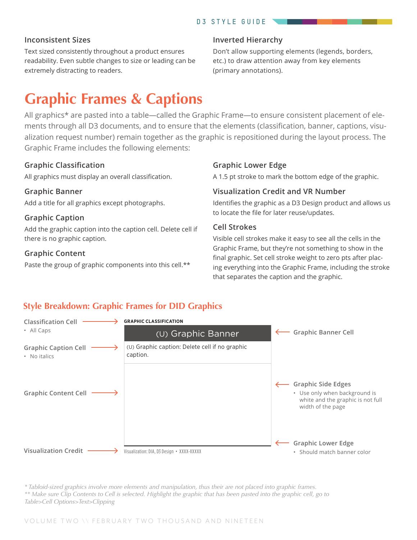### **D3 STYLE GUIDE**

## **Inconsistent Sizes**

Text sized consistently throughout a product ensures readability. Even subtle changes to size or leading can be extremely distracting to readers.

## **Graphic Frames & Captions**

All graphics\* are pasted into a table—called the Graphic Frame—to ensure consistent placement of elements through all D3 documents, and to ensure that the elements (classification, banner, captions, visualization request number) remain together as the graphic is repositioned during the layout process. The Graphic Frame includes the following elements:

## **Graphic Classifi cation**

All graphics must display an overall classification.

## **Graphic Banner**

Add a title for all graphics except photographs.

## **Graphic Caption**

Add the graphic caption into the caption cell. Delete cell if there is no graphic caption.

## **Graphic Content**

Paste the group of graphic components into this cell.\*\*

## **Inverted Hierarchy**

Don't allow supporting elements (legends, borders, etc.) to draw attention away from key elements (primary annotations).

## **Graphic Lower Edge**

A 1.5 pt stroke to mark the bottom edge of the graphic.

## **Visualization Credit and VR Number**

Identifies the graphic as a D3 Design product and allows us to locate the file for later reuse/updates.

## **Cell Strokes**

Visible cell strokes make it easy to see all the cells in the Graphic Frame, but they're not something to show in the final graphic. Set cell stroke weight to zero pts after placing everything into the Graphic Frame, including the stroke that separates the caption and the graphic.

## **Style Breakdown: Graphic Frames for DID Graphics**



*\* Tabloid-sized graphics involve more elements and manipulation, thus their are not placed into graphic frames. \*\* Make sure Clip Contents to Cell is selected. Highlight the graphic that has been pasted into the graphic cell, go to Table>Cell Options>Text>Clipping*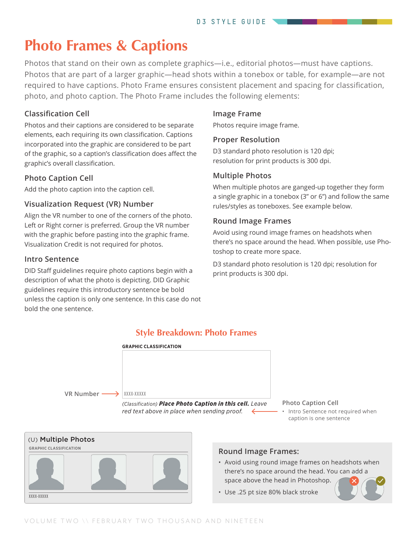## **Photo Frames & Captions**

Photos that stand on their own as complete graphics—i.e., editorial photos—must have captions. Photos that are part of a larger graphic—head shots within a tonebox or table, for example—are not required to have captions. Photo Frame ensures consistent placement and spacing for classification, photo, and photo caption. The Photo Frame includes the following elements:

## **Classifi cation Cell**

Photos and their captions are considered to be separate elements, each requiring its own classification. Captions incorporated into the graphic are considered to be part of the graphic, so a caption's classification does affect the graphic's overall classification.

## **Photo Caption Cell**

Add the photo caption into the caption cell.

### **Visualization Request (VR) Number**

Align the VR number to one of the corners of the photo. Left or Right corner is preferred. Group the VR number with the graphic before pasting into the graphic frame. Visualization Credit is not required for photos.

### **Intro Sentence**

DID Staff guidelines require photo captions begin with a description of what the photo is depicting. DID Graphic guidelines require this introductory sentence be bold unless the caption is only one sentence. In this case do not bold the one sentence.

### **Image Frame**

Photos require image frame.

### **Proper Resolution**

D3 standard photo resolution is 120 dpi; resolution for print products is 300 dpi.

### **Multiple Photos**

When multiple photos are ganged-up together they form a single graphic in a tonebox (3" or 6") and follow the same rules/styles as toneboxes. See example below.

### **Round Image Frames**

Avoid using round image frames on headshots when there's no space around the head. When possible, use Photoshop to create more space.

D3 standard photo resolution is 120 dpi; resolution for print products is 300 dpi.



*red text above in place when sending proof.*

• Intro Sentence not required when caption is one sentence



### **Round Image Frames:**

- Avoid using round image frames on headshots when there's no space around the head. You can add a space above the head in Photoshop.
- Use .25 pt size 80% black stroke



## **Style Breakdown: Photo Frames**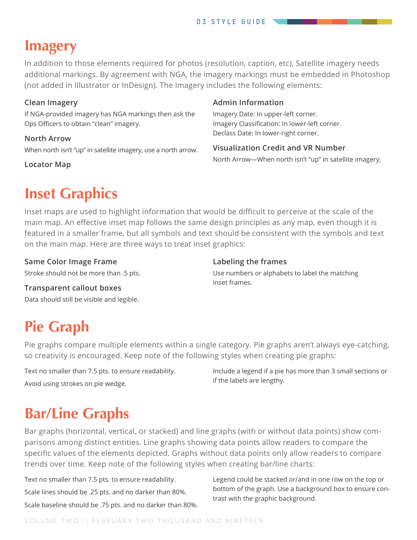## **Imagery**

In addition to those elements required for photos (resolution, caption, etc), Satellite imagery needs additional markings. By agreement with NGA, the imagery markings must be embedded in Photoshop (not added in Illustrator or InDesign). The Imagery includes the following elements:

## **Clean Imagery**

If NGA-provided imagery has NGA markings then ask the Ops Officers to obtain "clean" imagery.

**North Arrow**  When north isn't "up" in satellite imagery, use a north arrow.

**Locator Map**

## **Admin Information**

Imagery Date: In upper-left corner. Imagery Classification: In lower-left corner. Declass Date: In lower-right corner.

**Visualization Credit and VR Number** North Arrow—When north isn't "up" in satellite imagery,

## **Inset Graphics**

Inset maps are used to highlight information that would be difficult to perceive at the scale of the main map. An effective inset map follows the same design principles as any map, even though it is featured in a smaller frame, but all symbols and text should be consistent with the symbols and text on the main map. Here are three ways to treat inset graphics:

**Same Color Image Frame** Stroke should not be more than .5 pts.

## **Labeling the frames**

Use numbers or alphabets to label the matching inset frames.

**Transparent callout boxes** Data should still be visible and legible.

## **Pie Graph**

Pie graphs compare multiple elements within a single category. Pie graphs aren't always eye-catching, so creativity is encouraged. Keep note of the following styles when creating pie graphs:

Text no smaller than 7.5 pts. to ensure readability. Avoid using strokes on pie wedge.

Include a legend if a pie has more than 3 small sections or if the labels are lengthy.

## **Bar/Line Graphs**

Bar graphs (horizontal, vertical, or stacked) and line graphs (with or without data points) show comparisons among distinct entities. Line graphs showing data points allow readers to compare the specific values of the elements depicted. Graphs without data points only allow readers to compare trends over time. Keep note of the following styles when creating bar/line charts:

Text no smaller than 7.5 pts. to ensure readability. Scale lines should be .25 pts. and no darker than 80%. Scale baseline should be .75 pts. and no darker than 80%. Legend could be stacked or/and in one row on the top or bottom of the graph. Use a background box to ensure contrast with the graphic background.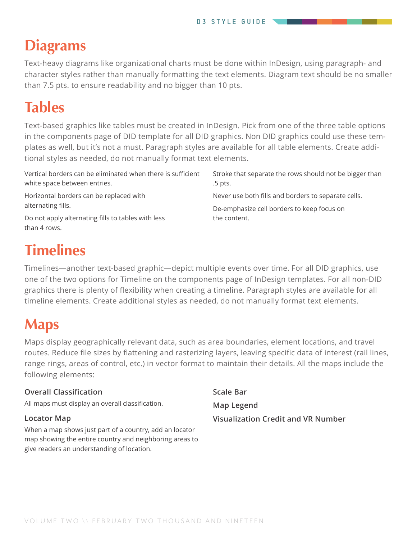## **Diagrams**

Text-heavy diagrams like organizational charts must be done within InDesign, using paragraph- and character styles rather than manually formatting the text elements. Diagram text should be no smaller than 7.5 pts. to ensure readability and no bigger than 10 pts.

## **Tables**

Text-based graphics like tables must be created in InDesign. Pick from one of the three table options in the components page of DID template for all DID graphics. Non DID graphics could use these templates as well, but it's not a must. Paragraph styles are available for all table elements. Create additional styles as needed, do not manually format text elements.

| Vertical borders can be eliminated when there is sufficient |  |
|-------------------------------------------------------------|--|
| white space between entries.                                |  |

Horizontal borders can be replaced with alternating fills.

Do not apply alternating fills to tables with less than 4 rows.

Stroke that separate the rows should not be bigger than .5 pts.

Never use both fills and borders to separate cells.

De-emphasize cell borders to keep focus on the content.

## **Timelines**

Timelines—another text-based graphic—depict multiple events over time. For all DID graphics, use one of the two options for Timeline on the components page of InDesign templates. For all non-DID graphics there is plenty of flexibility when creating a timeline. Paragraph styles are available for all timeline elements. Create additional styles as needed, do not manually format text elements.

## **Maps**

Maps display geographically relevant data, such as area boundaries, element locations, and travel routes. Reduce file sizes by flattening and rasterizing layers, leaving specific data of interest (rail lines, range rings, areas of control, etc.) in vector format to maintain their details. All the maps include the following elements:

## **Overall Classification**

All maps must display an overall classification.

## **Locator Map**

When a map shows just part of a country, add an locator map showing the entire country and neighboring areas to give readers an understanding of location.

**Scale Bar Map Legend Visualization Credit and VR Number**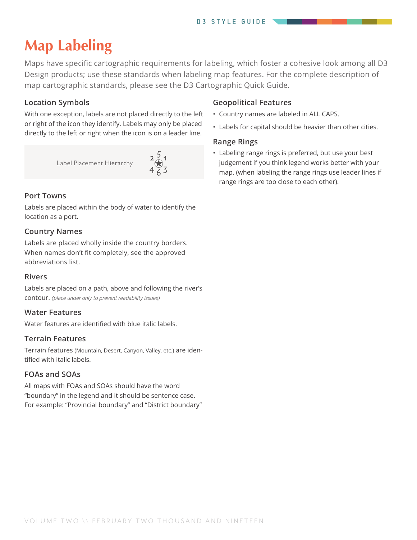## **Map Labeling**

Maps have specific cartographic requirements for labeling, which foster a cohesive look among all D3 Design products; use these standards when labeling map features. For the complete description of map cartographic standards, please see the D3 Cartographic Quick Guide.

## **Location Symbols**

With one exception, labels are not placed directly to the left or right of the icon they identify. Labels may only be placed directly to the left or right when the icon is on a leader line.

Label Placement Hierarchy



## **Port Towns**

Labels are placed within the body of water to identify the location as a port.

## **Country Names**

Labels are placed wholly inside the country borders. When names don't fit completely, see the approved abbreviations list.

## **Rivers**

Labels are placed on a path, above and following the river's contour. *(place under only to prevent readability issues)*

## **Water Features**

Water features are identified with blue italic labels.

## **Terrain Features**

Terrain features (Mountain, Desert, Canyon, Valley, etc.) are identified with italic labels.

## **FOAs and SOAs**

All maps with FOAs and SOAs should have the word "boundary" in the legend and it should be sentence case. For example: "Provincial boundary" and "District boundary"

## **Geopolitical Features**

- Country names are labeled in ALL CAPS.
- Labels for capital should be heavier than other cities.

## **Range Rings**

• Labeling range rings is preferred, but use your best judgement if you think legend works better with your map. (when labeling the range rings use leader lines if range rings are too close to each other).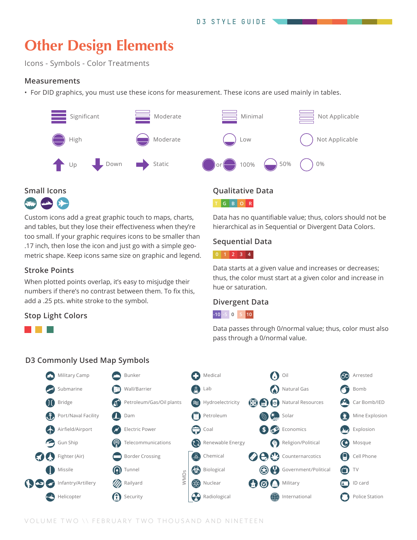## **Other Design Elements**

Icons - Symbols - Color Treatments

### **Measurements**

ï For DID graphics, you must use these icons for measurement. These icons are used mainly in tables.



## **Small Icons**

Custom icons add a great graphic touch to maps, charts, and tables, but they lose their effectiveness when they're too small. If your graphic requires icons to be smaller than .17 inch, then lose the icon and just go with a simple geometric shape. Keep icons same size on graphic and legend.

### **Stroke Points**

When plotted points overlap, it's easy to misjudge their numbers if there's no contrast between them. To fix this, add a .25 pts. white stroke to the symbol.

## **Stop Light Colors**



## **Qualitative Data**

#### **TGBOR**

Data has no quantifiable value; thus, colors should not be hierarchical as in Sequential or Divergent Data Colors.

### **Sequential Data**

### **01234**

Data starts at a given value and increases or decreases; thus, the color must start at a given color and increase in hue or saturation.

#### **Divergent Data**

**-10 -5 0 5 10**

Data passes through 0/normal value; thus, color must also pass through a 0/normal value.

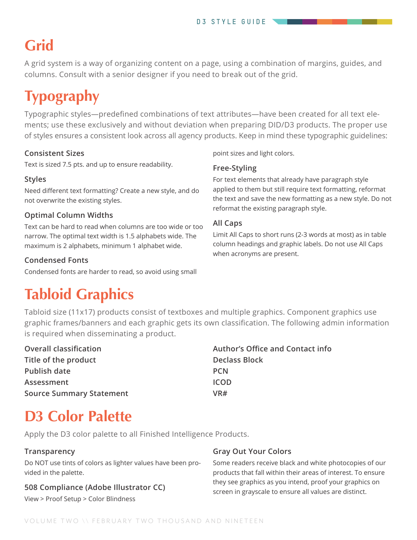point sizes and light colors.

when acronyms are present.

For text elements that already have paragraph style applied to them but still require text formatting, reformat the text and save the new formatting as a new style. Do not

Limit All Caps to short runs (2-3 words at most) as in table column headings and graphic labels. Do not use All Caps

reformat the existing paragraph style.

**Free-Styling**

**All Caps**

## **Grid**

A grid system is a way of organizing content on a page, using a combination of margins, guides, and columns. Consult with a senior designer if you need to break out of the grid.

## **Typography**

Typographic styles—predefined combinations of text attributes—have been created for all text elements; use these exclusively and without deviation when preparing DID/D3 products. The proper use of styles ensures a consistent look across all agency products. Keep in mind these typographic guidelines:

## **Consistent Sizes**

Text is sized 7.5 pts. and up to ensure readability.

## **Styles**

Need different text formatting? Create a new style, and do not overwrite the existing styles.

## **Optimal Column Widths**

Text can be hard to read when columns are too wide or too narrow. The optimal text width is 1.5 alphabets wide. The maximum is 2 alphabets, minimum 1 alphabet wide.

## **Condensed Fonts**

Condensed fonts are harder to read, so avoid using small

## **Tabloid Graphics**

Tabloid size (11x17) products consist of textboxes and multiple graphics. Component graphics use graphic frames/banners and each graphic gets its own classification. The following admin information is required when disseminating a product.

| <b>Overall classification</b>   | <b>Author's Office and Contact info</b> |
|---------------------------------|-----------------------------------------|
| Title of the product            | <b>Declass Block</b>                    |
| <b>Publish date</b>             | <b>PCN</b>                              |
| Assessment                      | <b>ICOD</b>                             |
| <b>Source Summary Statement</b> | VR#                                     |

## **D3 Color Palette**

Apply the D3 color palette to all Finished Intelligence Products.

## **Transparency**

Do NOT use tints of colors as lighter values have been provided in the palette.

## **508 Compliance (Adobe Illustrator CC)**

View > Proof Setup > Color Blindness

## **Gray Out Your Colors**

Some readers receive black and white photocopies of our products that fall within their areas of interest. To ensure they see graphics as you intend, proof your graphics on screen in grayscale to ensure all values are distinct.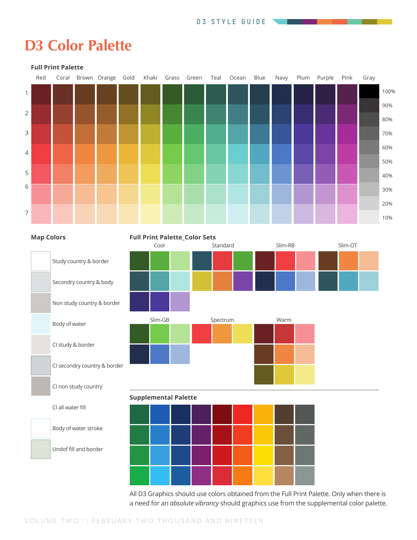## **D3 Color Palette**





Undof fill and border

### **Map Colors Full Print Palette\_Color Sets**



## **Supplemental Palette**



All D3 Graphics should use colors obtained from the Full Print Palette. Only when there is a need for an *absolute vibrancy* should graphics use from the supplemental color palette.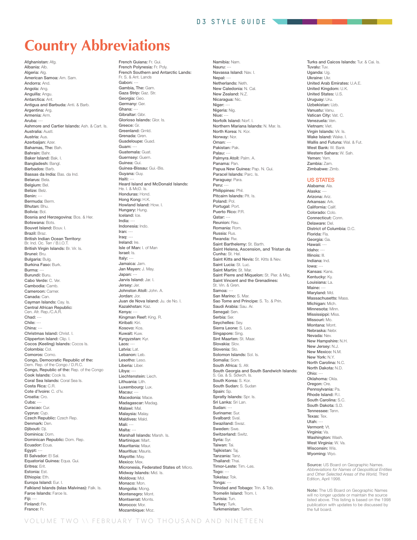## **Country Abbreviations**

Afghanistan: Afg. Albania: Alb. Algeria: Alg. American Samoa: Am. Sam. Andorra: And. Angola: Ang. Anguilla: Angu. Antarctica: Ant. Antigua and Barbuda: Anti. & Barb. Argentina: Arg. Armenia: Arm. Aruba: -Ashmore and Cartier Islands: Ash. & Cart. Is. **Australia: Austl.** Austria: Aus. Azerbaijan: Aze Bahamas, The: Bah. Bahrain: Bahr. Baker Island: Bak. I. Bangladesh: Bangl. Barbados: Barb. Bassas da India: Bas. da Ind. Belarus: Bela. Belgium: Bel. Belize: Belz. Benin: --Bermuda: Berm. Bhutan: Bhu. Bolivia: Bol. Bosnia and Herzegovina: Bos. & Her. Botswana: Bots. Bouvet Island: Bouv. I. Brazil: Braz. British Indian Ocean Territory: Br. Ind. Oc. Terr / British Virgin Islands: Br. Vir. Is. Brunei: Bru. Bulgaria: Bulg. Burkina Faso: Burk. Burma: Burundi: Buru. Cabo Verde: C. Ver. Cambodia: Camb. Cameroon: Camer. Canada: Can. Cayman Islands: Cay. Is. Central African Republic: Cen. Afr. Rep./C.A.R. Chad: --- Chile: --- China: --Christmas Island: Christ. I. Clipperton Island: Clip. I. Cocos (Keeling) Islands: Cocos Is. Colombia: Col. Comoros: Como. Congo, Democratic Republic of the: Dem. Rep. of the Congo / D.R.C.<br>**Congo, Republic of the:** Rep. of the Congo Cook Islands: Cook Is. Coral Sea Islands: Coral Sea Is. Costa Rica: C.R. Cote d'Ivoire: C. d'Iv. Croatia: Cro. Cuba: --- Curacao: Cur. Cyprus: Cyp. Czech Republic: Czech Rep. Denmark: Den. Diibouti: Dii. Dominica: Dom. Dominican Republic: Dom. Rep. Ecuador: Ecua. Egypt: --El Salvador: El Sal. Equatorial Guinea: Equa. Gui. Eritrea: Erit. Estonia: Est. Ethiopia: Eth. Europa Island: Eur. I. Falkland Islands (Islas Malvinas): Falk. Is. Faroe Islands: Faroe Is. Fiii: Finland: Fin. France: Fr.

French Guiana: Fr. Gui. French Polynesia: Fr. Poly. French Southern and Antarctic Lands: Fr. S. & Ant. Lands Gabon: -Gambia, The: Gam. Gaza Strip: Gaz. Str. Georgia: Geo. Germany: Ger. Ghana: -Gibraltar: Gibr. Glorioso Islands: Glor. Is. Greece: Gr. Greenland: Grnld. Grenada: Gren. Guadeloupe: Guad. Guam: -Guatemala: Guat. Guernsey: Guern. Guinea: Gui. Guinea-Bissau: Gui.-Bis. Guyana: Guy. Haiti: --- Heard Island and McDonald Islands: He. I. & McD. Is. Honduras: Hond. Hong Kong: H.K. Howland Island: How I. Hungary: Hung. Iceland: Ice. India: -Indonesia: Indo. Iran: --- Iraq: --- Ireland: Ire. Isle of Man: I. of Man Israel: Is. Italy: --Jamaica: Jam. Jan Mayen: J. May. Japan: Jarvis Island: Jar. I. Jersey: Jer. Johnston Atoll: John. A. Jordan: Jor. Juan de Nova Island: Ju. de No. I. Kazakhstan: Kaz. Kenva: --Kingman Reef: King. R. Kiribati: Kiri. Kosovo: Kos. Kuwait: Kuw. Kyrgyzstan: Kyr. Laos: -Latvia: Lat. Lebanon: Leb. Lesotho: Leso. Liberia: Liber. Libya: Liechtenstein: Liech. Lithuania: Lith. Luxembourg: Lux. Macau: Macedonia: Mace. Madagascar: Madag. Malawi: Mal. Malaysia: Malay. Maldives: Mald. Mali: -Malta: --Marshall Islands: Marsh. Is. Martinique: Mart. Mauritania: Maur. Mauritius: Mauris. Mayotte: May Mexico: Mex. Micronesia, Federated States of: Micro. Midway Islands: Mid. Is. Moldova: Mol. Monaco: Mon. Mongolia: Mong. Montenegro: Mont. Montserrat: Monts. Morocco: Mor. Mozambique: Moz.

Namibia: Nam. Nauru: Navassa Island: Nav. I. Nepal: Netherlands: Neth. New Caledonia: N. Cal. New Zealand: N.Z. Nicaragua: Nic. Niger: Nigeria: Nig. Niue: -Norfolk Island: Norf. I. Northern Mariana Islands: N. Mar. Is. North Korea: N. Kor. Norway: Nor. Oman: Pakistan: Pak. Palau: Palmyra Atoll: Palm. A. Panama: Pan. Papua New Guinea: Pap. N. Gui. Paracel Islands: Parc. Is. Paraguay: Para. Peru: --Philippines: Phil. Pitcairn Islands: Pit. Is. Poland: Pol. Portugal: Port. Puerto Rico: P.R. Qatar: --- Reunion: Reu. Romania: Rom. Russia: Rus. Rwanda: Rw. Saint Barthelemy: St. Barth. Saint Helena, Ascension, and Tristan da Cunha: St. H Saint Kitts and Nevis: St. Kitts & Nev. Saint Lucia: St. Luc. Saint Martin: St. Mar. Saint Pierre and Miquelon: St. Pier. & Mig. Saint Vincent and the Grenadines: St. Vin. & Gren. Samoa: -San Marino: S. Mar. Sao Tome and Principe: S. To. & Prin. Saudi Arabia: Sau. Ar. Senegal: Sen. Serbia: Ser. Seychelles: Sey. Sierra Leone: S. Leo. Singapore: Sing. Sint Maarten: St. Maar. Slovakia: Slov. Slovenia: Slo. Solomon Islands: Sol. Is. Somalia: Som. South Africa: S. Afr. South Georgia and South Sandwich Islands: S. Ga. & S. Sdwch. Is. South Korea: S. Kor. South Sudan: S. Sudan Spain: Sp. Spratly Islands: Spr. Is. Sri Lanka: Sri Lan. Sudan: -Suriname: Sur. Svalbard: Sval. Swaziland: Swaz. Sweden: Swe. Switzerland: Switz. Syria: Syr. Taiwan: Tai. Tajikistan: Taj. Tanzania: Tanz. Thailand: Thai. Timor-Leste: Tim.-Les. Togo: -Tokelau: Tok. Tonga: Trinidad and Tobago: Trin. & Tob. Tromelin Island: Trom. I. Tunisia: Tun. Turkey: Turk. Turkmenistan: Turkm.

Turks and Caicos Islands: Tur. & Cai. Is. Tuvalu: Tuv. Uganda: Ug. Ukraine: Ukr. United Arab Emirates: U.A.E. United Kingdom: U.K. United States: U.S. Uruguay: Uru. Uzbekistan: Uzb. Vanuatu: Vanu. Vatican City: Vat. C. Venezuela: Ven. Vietnam: Viet. Virgin Islands: Vir. Is. Wake Island: Wake. I. Wallis and Futuna: Wal. & Fut. West Bank: W. Bank Western Sahara: W. Sah. Yemen: Yem. Zambia: Zam. Zimbabwe: Zimb.

#### US STATES

Alabama: Ala. Alaska: Arizona: Ariz. Arkansas: Ark. California: Calif. Colorado: Colo. Connecticut: Conn. Delaware: Del. District of Columbia: D.C. Florida: Fla. Georgia: Ga. Hawaii: -Idaho: --Illinois: Ill. Indiana: Ind. Iowa: -Kansas: Kans. Kentucky: Ky. Louisiana: La. Maine: --Maryland: Md. Massachusetts: Mass. Michigan: Mich. Minnesota: Minn. Mississippi: Miss. Missouri: Mo. Montana: Mont. Nebraska: Nebr. Nevada: Nev. New Hampshire: N.H. New Jersey: N.J. New Mexico: N.M. New York: N.Y. North Carolina: N.C. North Dakota: N.D. Ohio: --- Oklahoma: Okla. Oregon: Ore. Pennsylvania: Pa. Rhode Island: R.I. South Carolina: S.C. South Dakota: S.D. Tennessee: Tenn. Texas: Tex. Utah: Vermont: Vt. Virginia: Va. Washington: Wash. West Virginia: W. Va. Wisconsin: Wis. Wyoming: Wyo.

Source: US Board on Geographic Names. Abbreviations for Names of Geopolitical Entities and Other Selected Areas of the World, Third Edition, April 1998.

Note: The US Board on Geographic Names will no longer update or maintain the source listed above. This listing is based on the 1998 publication with updates to be discussed by the full board.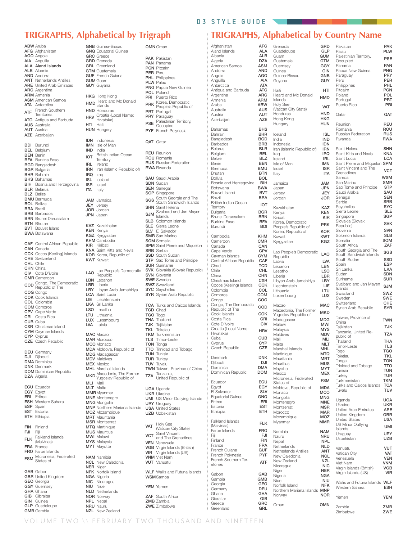#### **D3 STYLE GUIDE**

**ABW** Aruba<br>**AFG** Afghanistan<br>**AGO** Angola AIA Anguilla ALA Aland Islands ALB Albania **AND** Andorra ANT Netherlands Antilles ARE United Arab Emirates ARG Argentina ARM Armenia ASM American Samoa ATA Antarctica **ATF** French Southern **Territories** ATG Antigua and Barbuda AUS Australia AUT Austria AZE Azerbaijan BDI Burundi BEL Belgium **BEN** Benin **BFA** Burkina Faso BGD Bangladesh BGR Bulgaria **BHR** Bahrain BHS Bahamas **BIH** Bosnia and Herzegovina **BLR** Belarus **BLZ** Belize BMU Bermuda **BOL Bolivia BRA** Brazil BRB Barbados BRN Brunei Darussalam **BTN** Bhutan **BVT** Bouvet Island BWA Botswana CAF Central African Republic CAN Canada CCK Cocos (Keeling) Islands CHE Switzerland CHL Chile **CHN** China CIV Cote D'ivoire CMR Cameroon **COD** Congo, The Democratic Republic of The COG Congo COK Cook Islands COL Colombia COM Comoros CPV Cape Verde CRI Costa Rica CUB Cuba CXR Christmas Island **CYM** Cayman Islands CYP Cyprus CZE Czech Republic DEU Germany DJI Diibouti **DMA** Dominica DNK Denmark **DOM** Dominican Republic DZA Algeria ECU Ecuador EGY Egypt ERI Eritrea ESH Western Sahara ESP Spain EST Estonia ETH Ethiopia FIN Finland<br>FJI Fiji  $FJI$ **FLK** Falkland Islands (Malvinas) FRA France FRO Faroe Islands FSM Micronesia, Federated<br>States of GAB Gabon GBR United Kingdom GEO Georgia GGY Guernsey GHA Ghana GIB Gibraltar GIN Guinea GLP Guadeloupe

GMB Gambia

|                                                                                         | <b>GNB</b> Guinea-Bissau<br><b>GNQ</b> Equatorial Guinea<br><b>GRC</b> Greece<br><b>GRD</b> Grenada<br><b>GRL</b> Greenland<br><b>GTM</b> Guatemala<br><b>GUF</b> French Guiana<br><b>GUM</b> Guam<br><b>GUY</b> Guyana                                                                                                                                                                                                                                                                                                                                               |
|-----------------------------------------------------------------------------------------|-----------------------------------------------------------------------------------------------------------------------------------------------------------------------------------------------------------------------------------------------------------------------------------------------------------------------------------------------------------------------------------------------------------------------------------------------------------------------------------------------------------------------------------------------------------------------|
| HMD<br><b>HRV</b><br>HTI                                                                | <b>HKG</b> Hong Kong<br>Heard and Mc Donald<br>Islands<br><b>HND</b> Honduras<br>Croatia (Local Name:<br>Hrvatska)<br>Haiti<br><b>HUN</b> Hungary                                                                                                                                                                                                                                                                                                                                                                                                                     |
| idn<br><b>IMN</b><br>IND<br><b>TOI</b><br>IRL<br>IRN<br>IRQ<br>ISL<br><b>ISR</b><br>ita | Indonesia<br>Isle of Man<br>India<br>British Indian Ocean<br>Territory<br>Ireland<br>Iran (Islamic Republic of)<br>Iraq<br>Iceland<br>Israel<br>Italy                                                                                                                                                                                                                                                                                                                                                                                                                 |
| JPN                                                                                     | JAM Jamaica<br><b>JEY</b> Jersey<br><b>JOR</b> Jordan<br>Japan                                                                                                                                                                                                                                                                                                                                                                                                                                                                                                        |
|                                                                                         | KAZ Kazakhstan<br><b>KEN</b> Kenya<br>KGZ Kyrgyzstan<br><b>KHM</b> Cambodia<br><b>KIR</b> Kiribati<br><b>KNA</b> Saint Kitts and Nevis<br>KOR Korea, Republic of<br><b>KWT</b> Kuwait                                                                                                                                                                                                                                                                                                                                                                                 |
| LAO<br>LBN<br>LCA<br>LIE<br>LKA<br>LVA                                                  | Lao People's Democratic<br>Republic<br>Lebanon<br>LBR Liberia<br>LBY Libyan Arab Jamahiriya<br>Saint Lucia<br>Liechtenstein<br>Sri Lanka<br><b>LSO</b> Lesotho<br><b>LTU</b> Lithuania<br><b>LUX</b> Luxembourg<br>Latvia                                                                                                                                                                                                                                                                                                                                             |
| MLI<br>MLT                                                                              | <b>MAC</b> Macao<br><b>MAR Morocco</b><br><b>MCO</b> Monaco<br>MDA Moldova, Republic of<br><b>MDG</b> Madagascar<br><b>MDV</b> Maldives<br><b>MEX</b> Mexico<br><b>MHL</b> Marshall Islands<br>MKD Macedonia, The Former<br>Yugoslav Republic of<br>Mali<br>Malta<br><b>MMR</b> Myanmar<br><b>MNE</b> Montenegro<br><b>MNG</b> Mongolia<br><b>MNP</b> Northern Mariana Islands<br><b>MOZ</b> Mozambique<br><b>MRT</b> Mauritania<br><b>MSR</b> Montserrat<br><b>MTQ</b> Martinique<br><b>MUS</b> Mauritius<br><b>MWI</b> Malawi<br>MYS Malaysia<br><b>MYT</b> Mayotte |
| NER<br>NFK<br>ΝIC<br>niu                                                                | <b>NAM</b> Namibia<br><b>NCL</b> New Caledonia<br>Niger<br>Norfolk Island<br><b>NGA Nigeria</b><br>Nicaragua<br>Niue<br><b>NLD</b> Netherlands<br><b>NOR</b> Norway<br><b>NPL</b> Nepal<br><b>NRU</b> Nauru                                                                                                                                                                                                                                                                                                                                                           |

|                   | <b>OMN</b> Oman                                                                                                     | Afg<br>AΙa |
|-------------------|---------------------------------------------------------------------------------------------------------------------|------------|
|                   |                                                                                                                     | Alt        |
| <b>PAK</b><br>PAN | Pakistan<br>Panama                                                                                                  | Alç        |
|                   | <b>PCN</b> Pitcairn                                                                                                 | An         |
| <b>PER Peru</b>   |                                                                                                                     | An         |
| PHL               | Philippines                                                                                                         | An         |
|                   | <b>PLW</b> Palau                                                                                                    | An<br>An   |
|                   | <b>PNG</b> Papua New Guinea                                                                                         | An         |
| PRI               | POL Poland                                                                                                          | Arı        |
|                   | Puerto Rico<br>Korea, Democratic                                                                                    | Arı        |
| <b>PRK</b>        | People's Republic of                                                                                                | Arı        |
| <b>PRT</b>        | Portugal                                                                                                            | Au<br>Au   |
| PRY               | Paraguay                                                                                                            | Az         |
| PSE               | Palestinian Territory,<br>Occupied                                                                                  |            |
| <b>PYF</b>        | French Polynesia                                                                                                    | Ва         |
|                   |                                                                                                                     | Ba         |
| QAT               | Qatar                                                                                                               | Ba<br>Ba   |
|                   | <b>REU</b> Reunion                                                                                                  | Be         |
|                   | <b>ROU</b> Romania                                                                                                  | Be<br>Be   |
|                   | <b>RUS</b> Russian Federation                                                                                       | Be         |
|                   | <b>RWA</b> Rwanda                                                                                                   | Be         |
|                   |                                                                                                                     | Bh         |
| SAU               | Saudi Arabia                                                                                                        | Bc         |
| SDN<br>SEN        | Sudan                                                                                                               | Bc<br>Bc   |
| SGP               | Senegal<br>Singapore                                                                                                | Bc         |
|                   | South Georgia and The                                                                                               | Br         |
| SGS               | South Sandwich Islands                                                                                              | Bri        |
| <b>SHN</b>        | Saint Helena                                                                                                        | Tei        |
| SJM               | Svalbard and Jan Mayen<br>Islands                                                                                   | Βu<br>Br   |
| SLB               | Solomon Islands                                                                                                     | Bυ         |
| SLE               | Sierra Leone                                                                                                        | Bυ         |
| SLV               | El Salvador                                                                                                         |            |
|                   | <b>SMR</b> San Marino                                                                                               | Cг         |
|                   | <b>SOM</b> Somalia<br><b>SPM</b> Saint Pierre and Miquelon                                                          | Cа         |
|                   | <b>SRB</b> Serbia                                                                                                   | Cа<br>Cг   |
|                   | <b>SSD</b> South Sudan                                                                                              | Cг         |
| <b>STP</b>        | Sao Tome and Principe                                                                                               | Cє         |
|                   | <b>SUR</b> Suriname                                                                                                 | Сh         |
| SVN               | <b>SVK</b> Slovakia (Slovak Republic)                                                                               | Сh         |
|                   | Slovenia<br><b>SWE</b> Sweden                                                                                       | Сh<br>Сh   |
|                   | <b>SWZ</b> Swaziland                                                                                                | Сc         |
| SYC               | Seychelles                                                                                                          | Cс         |
| SYR               | Syrian Arab Republic                                                                                                | Cс         |
|                   |                                                                                                                     | Сc         |
| TCA               | Turks and Caicos Islands                                                                                            | Cc<br>Re   |
| TGO               | <b>TCD</b> Chad<br>Togo                                                                                             | Cc         |
| THA               | Thailand                                                                                                            | Сc         |
| <br>TJK           | Tajikistan                                                                                                          | Cс         |
| TKL               | Tokelau                                                                                                             | Cr         |
|                   | <b>TKM</b> Turkmenistan                                                                                             | Ηr<br>Cι   |
| TLS<br>TON        | Timor-Leste<br>Tonga                                                                                                | Сy         |
| TTO               | Trinidad and Tobago                                                                                                 | Сz         |
|                   | <b>TUN</b> Tunisia                                                                                                  |            |
| TUR               | Turkey                                                                                                              | De         |
| TUV               | Tuvalu                                                                                                              | Dji<br>Dc  |
|                   | TWN Taiwan, Province of China                                                                                       | Dc         |
| TZA               | Tanzania,<br>United Republic of                                                                                     |            |
|                   |                                                                                                                     | Ec         |
|                   | <b>UGA</b> Uganda                                                                                                   | Eg         |
| UKR               | Ukraine                                                                                                             | Е,<br>Eq   |
| UMI               | US Minor Outlying Islands<br><b>URY</b> Uruguay                                                                     | Eri        |
|                   | <b>USA</b> United States                                                                                            | Es         |
|                   | <b>UZB</b> Uzbekistan                                                                                               | Eth        |
|                   |                                                                                                                     | Fa         |
| VAT               | Holy See                                                                                                            | (M         |
|                   | (Vatican City State)<br>Saint Vincent                                                                               | Fa         |
| VCT               | and The Grenadines                                                                                                  | Fiji       |
| <b>VEN</b>        | Venezuela                                                                                                           | Fir<br>Fra |
| VGB               | Virgin Islands (British)                                                                                            | Fre        |
| VIR               | Virgin Islands (US)<br><b>VNM</b> Viet Nam                                                                          | Fre        |
| VUT               | Vanuatu                                                                                                             | Fre        |
|                   |                                                                                                                     | rito       |
|                   | <b>WLF</b> Wallis and Futuna Islands                                                                                | Ga         |
|                   | <b>WSM</b> Samoa                                                                                                    | Ga         |
|                   | 的的活动的现在的现在的现在的现在分词形式的现在分词形式的现在分词形式的现在分词形式的现在分词形式的现在分词形式的现在分词形式的现在分词形式的现在分词形式的现在分词形式的现在分词形式的现在分词<br><b>YEM</b> Yemen | Ge<br>Ge   |
| ZAF               | South Africa                                                                                                        | Gŀ         |
|                   | <b>ZMB</b> Zambia                                                                                                   | Gil        |
|                   | <b>ZWE</b> Zimbabwe                                                                                                 | Gr<br>∩r   |

## **TRIGRAPHS, Alphabetical by Trigraph TRIGRAPHS, Alphabetical by Country Name**

| .FG<br>۱LA<br>۱LB<br>ıΖA<br>SM<br>ND<br>GO<br>AIA                          | Grenada<br>Guadeloupe<br>Guam<br>Guatemala<br>Guernsey<br>Guinea<br>Guinea-Bissau<br>Guyana                                                                 | GRD<br>GLP<br>GUM<br>GTM<br>GGY<br>GIN<br>GNB<br>GUY                                                                       | P<br>P<br>P<br>Ο<br>P<br>P<br>P<br>P۱                              |
|----------------------------------------------------------------------------|-------------------------------------------------------------------------------------------------------------------------------------------------------------|----------------------------------------------------------------------------------------------------------------------------|--------------------------------------------------------------------|
| ۹ТA<br>ιΤG<br>RG<br>RM<br>ВW<br>US.<br><b>UT</b><br>νZΕ                    | Haiti<br>Heard and Mc Donald<br>Islands<br><b>Holy See</b><br>(Vatican City State)<br>Honduras<br>Hong Kong<br>Hungary                                      | HTI<br>HMD<br>VAT<br><b>HND</b><br><b>HKG</b><br><b>HUN</b>                                                                | PI<br>Pi<br>P٥<br>P<br>Pı<br>Q<br>R                                |
| ΗS<br>ΗR<br>GD<br>RB<br>۱LR<br>3EL<br>3LZ<br>ιEΝ<br>MU<br>۱TΝ              | Iceland<br>India<br>Indonesia<br>Iran (Islamic Republic of)<br>Iraq<br>Ireland<br>Isle of Man<br>Israel<br>Italy                                            | ISL<br>IND<br><b>IDN</b><br><b>IRN</b><br><b>IRQ</b><br>IRL<br>IMN<br>ISR<br>ITA                                           | R<br>R<br>R<br>S<br>S<br>S<br>S<br>S<br>G<br>S                     |
| ЮL<br>ЗIН<br>WA<br><b>SVT</b><br>RΑ                                        | Jamaica<br>Japan<br>Jersey<br>Jordan                                                                                                                        | JAM<br><b>JPN</b><br><b>JEY</b><br><b>JOR</b>                                                                              | S<br>S<br>S<br>S٢<br>S                                             |
| ЮT<br>GR<br>RN<br>3FA<br>3DI<br>HМ<br>МR<br>ΆN                             | Kazakhstan<br>Kenya<br>Kiribati<br>Korea, Democratic<br>People's Republic of<br>Korea, Republic of<br>Kuwait<br>Kyrgyzstan                                  | KAZ<br><b>KEN</b><br>KIR<br>PRK<br><b>KOR</b><br><b>KWT</b><br>KGZ                                                         | S٢<br>Si<br>Si<br>SI<br>R<br>SI<br>S٢<br>S٥<br>$\mathsf{S}$        |
| :PV<br>ΥM<br>AF:<br>CD<br>۱HL<br>ΗN<br>ΧR<br>СK<br>ЮL<br>MС<br>ОG          | Lao People's Democratic<br>Republic<br>Latvia<br>Lebanon<br>Lesotho<br>Liberia<br>Libyan Arab Jamahiriya<br>Liechtenstein<br>Lithuania<br>Luxembourg        | LAO<br>LVA<br>LBN<br>LSO<br>LBR<br>LBY<br>LIE<br>LTU<br>LUX                                                                | Š,<br>S٥<br>S٥<br>S<br>Sı<br>Sı<br>Sı<br>S)<br>Is<br>S)<br>S١      |
| OD<br>ΟK<br>CRI<br>CIV<br><b>IRV</b><br>UB<br>:YP                          | Macao<br>Macedonia, The Former<br>Yugoslav Republic of<br>Madagascar<br>Malawi<br>Malaysia<br>Maldives<br>Mali<br>Malta                                     | MAC<br>MKD<br>MDG<br>MWI<br>MYS<br>MDV<br>MLI<br><b>MLT</b>                                                                | S)<br>S)<br>Τa<br>C<br>Тε<br>Тέ<br>pι<br>Tł<br>Ti                  |
| <b>ZE</b><br>NΚ<br>DJI<br>МA<br>MС<br>CU                                   | Marshall Islands<br>Martinique<br>Mauritania<br>Mauritius<br>Mayotte<br>Mexico<br>Micronesia, Federated<br>States of                                        | MHL<br>MTQ<br>MRT<br>MUS<br><b>MYT</b><br><b>MEX</b><br><b>FSM</b>                                                         | To<br>To<br>To<br>Tr<br>Τι<br>Τι<br>Τι                             |
| GY<br>SLV<br>NQ<br>ERI<br>:ST<br>:TH                                       | Moldova, Republic of<br>Monaco<br>Mongolia<br>Montenegro<br>Montserrat<br>Morocco<br>Mozambique<br>Myanmar                                                  | <b>MDA</b><br>MCO<br><b>MNG</b><br><b>MNE</b><br><b>MSR</b><br><b>MAR</b><br>MOZ<br>MMR                                    | Τι<br>Τι<br>Uļ<br>U<br>Uı<br>Uı<br>U                               |
| ïΓK<br>RO<br>FJI<br>FIN<br><b>RA</b><br>iUF<br>YF<br>١TF<br>AB<br>ΜВ<br>EO | Namibia<br>Nauru<br>Nepal<br>Netherlands<br>Netherlands Antilles<br>New Caledonia<br>New Zealand<br>Nicaragua<br>Niger<br>Nigeria<br>Niue<br>Norfolk Island | <b>NAM</b><br>NRU<br><b>NPL</b><br><b>NLD</b><br>ANT<br>NCL<br><b>NZL</b><br><b>NIC</b><br>NER<br>NGA<br>NIU<br><b>NFK</b> | U.<br>Isl<br>Uı<br>U.<br>Vá<br>Vć<br>V<br>Vi<br>Vi<br>Vi<br>W<br>W |
| ΈU<br>ΗA<br>ЭIВ<br>RC<br><b>RI</b>                                         | Northern Mariana Islands<br>Norway<br>Oman                                                                                                                  | MNP<br>NOR<br>OMN                                                                                                          | Ye<br>Z                                                            |

| ١D       | Pakistan                              | PAK                      |
|----------|---------------------------------------|--------------------------|
| P.<br>М  | Palau                                 | <b>PLW</b>               |
| M        | Palestinian Territory,<br>Occupied    | PSE                      |
| àY       | Panama                                | <b>PAN</b>               |
| ΙN       | Papua New Guinea                      | <b>PNG</b><br>PRY        |
| lВ<br>JY | Paraguay<br>Peru                      | PER                      |
|          | Philippines                           | PHL                      |
| TI       | Pitcairn                              | <b>PCN</b>               |
| ID       | Poland<br>Portugal                    | POL<br>PRT               |
| ĄT       | Puerto Rico                           | PRI                      |
|          |                                       |                          |
| ID<br>G. | Qatar                                 | QAT                      |
| JN       | Reunion                               | <b>REU</b>               |
|          | Romania                               | ROU                      |
| 3L<br>ID | Russian Federation<br>Rwanda          | <b>RUS</b><br>RWA        |
| ۱N       |                                       |                          |
| łΝ       | Saint Helena                          | <b>SHN</b>               |
| ۱Q<br>٦L | Saint Kitts and Nevis<br>Saint Lucia  | KNA<br><b>LCA</b>        |
| IΝ       | Saint Pierre and Miquelon             | <b>SPM</b>               |
| зR       | Saint Vincent and The                 | <b>VCT</b>               |
| ГА       | Grenadines<br>Samoa                   | <b>WSM</b>               |
| M        | San Marino                            | SMR                      |
| ١N       | Sao Tome and Principe                 | <b>STP</b>               |
| ΞY       | Saudi Arabia<br>Senegal               | SAU<br>SEN               |
| эR       | Serbia                                | SRB                      |
| ١Z       | Seychelles                            | <b>SYC</b>               |
| ΞN       | Sierra Leone<br>Singapore             | SLE<br>SGP               |
| ΙR       | Slovakia (Slovak                      | <b>SVK</b>               |
| ξK       | Republic)                             | <b>SVN</b>               |
| ЭR<br>νт | Slovenia<br>Solomon Islands           | <b>SLB</b>               |
| àΖ       | Somalia                               | SOM                      |
|          | South Africa<br>South Georgia and The | ZAF                      |
| ١O       | South Sandwich Islands                | SGS                      |
| ΙA       | South Sudan                           | SSD                      |
| 3N       | Spain<br>Sri Lanka                    | <b>ESP</b><br>LKA        |
| G.<br>3R | Sudan                                 | <b>SDN</b>               |
| 3Y       | Suriname                              | <b>SUR</b>               |
| ΙE<br>ΓU | Svalbard and Jan Mayen<br>Islands     | <b>SJM</b>               |
| JX       | Swaziland                             | SWZ                      |
|          | Sweden<br>Switzerland                 | <b>SWE</b><br>CHE        |
| ١С       | Syrian Arab Republic                  | <b>SYR</b>               |
| ۵C)      | Taiwan, Province of                   |                          |
| G<br>٨I  | China                                 | TWN                      |
| ⁄S       | Tajikistan                            | TJK                      |
| ЭV       | Tanzania, United Re-<br>public of     | <b>TZA</b>               |
| Ш<br>LТ  | Thailand                              | THA                      |
| ۰IL      | Timor-Leste                           | TLS                      |
| Q        | Togo<br>Tokelau                       | <b>TGO</b><br><b>TKL</b> |
| R٦<br>JS | Tonga                                 | TON                      |
| 7T       | Trinidad and Tobago                   | TTO                      |
| ΞX       | Tunisia<br>Turkey                     | TUN<br>TUR               |
| M        | Turkmenistan                          | TKM                      |
| ĴА       | Turks and Caicos Islands<br>Tuvalu    | <b>TCA</b><br>TUV        |
| C.       |                                       |                          |
| IG<br>١E | Uganda                                | <b>UGA</b>               |
| SR       | Ukraine<br>United Arab Emirates       | UKR<br>ARE               |
| ١R<br>ΣC | United Kingdom                        | GBR                      |
| 1R       | <b>United States</b>                  | USA                      |
|          | US Minor Outlying<br>Islands          | <b>UMI</b>               |
| M<br>₹U  | Uruguay                               | URY                      |
| ఽ        | Uzbekistan                            | UZB                      |
| .D       | Vanuatu                               | VUT                      |
| ٩T<br>CL | Vatican City                          | VAT                      |
| ZL       | Venezuela<br>Viet Nam                 | VEN<br>VNM               |
| ΙC       | Virgin Islands (British)              | VGB                      |
| ΞR<br>àА | Virgin Islands (US)                   | VIR                      |
| IU       | Wallis and Futuna Islands             | WLF                      |
| ΞK<br>ΙP | Western Sahara                        | <b>ESH</b>               |
| эR       | Yemen                                 | <b>YEM</b>               |
|          |                                       |                          |
| ΙN       | Zambia                                | ZMB                      |
|          | Zimbabwe                              | ZWE                      |

**NZL** New Zealand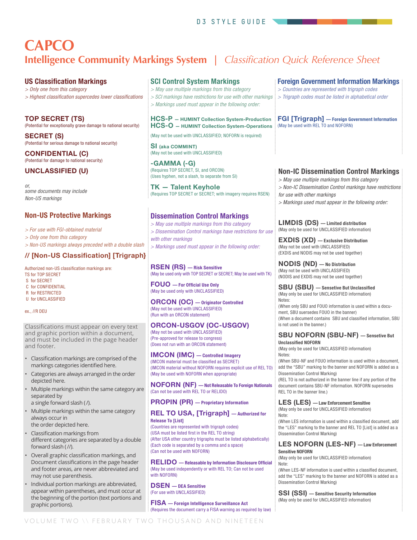## **CAPCO Intelligence Community Markings System |** *Classification Quick Reference Sheet*

### **US Classification Markings**

> Only one from this category > Highest classification supercedes lower classifications

TOP SECRET (TS) (Potential for exceptionally grave damage to national security)

SECRET (S) (Potential for serious damage to national security)

CONFIDENTIAL (C) (Potential for damage to national security)

### UNCLASSIFIED (U)

or, some documents may include Non-US markings

## Non-US Protective Markings

> For use with FGI-obtained material

- > Only one from this category
- > Non-US markings always preceded with a double slash

### // [Non-US Classification] [Trigraph]

Authorized non-US classification markings are: TS for TOP SECRET S for SECRET C for CONFIDENTIAL R for RESTRICTED U for UNCLASSIFIED

#### ex., //R DEU

Classifications must appear on every text and graphic portion within a document, and must be included in the page header and footer.

- Classification markings are comprised of the markings categories identified here.
- Categories are always arranged in the order depicted here.
- Multiple markings within the same category are separated by

a single forward slash ( /).

- Multiple markings within the same category always occur in the order depicted here.
- Classification markings from different categories are separated by a double forward slash ( //).
- Overall graphic classification markings, and Document classifications in the page header and footer areas, are never abbreviated and may not use parenthesis.
- Individual portion markings are abbreviated, appear within parentheses, and must occur at the beginning of the portion (text portions and graphic portions).

### SCI Control System Markings

- > May use multiple markings from this category
- > SCI markings have restrictions for use with other markings > Markings used must appear in the following order:

HCS-P — HUMINT Collection System-Production HCS-O — HUMINT Collection System-Operations

(May not be used with UNCLASSIFIED; NOFORN is required)

SI (aka COMMINT) (May not be used with UNCLASSIFIED)

-GAMMA (-G) (Requires TOP SECRET, SI, and ORCON) (Uses hyphen, not a slash, to separate from SI)

TK — Talent Keyhole (Requires TOP SECRET or SECRET; with imagery requires RSEN)

### Dissemination Control Markings

> May use multiple markings from this category > Dissemination Control markings have restrictions for use with other markings

> Markings used must appear in the following order:

#### RSEN (RS) — Risk Sensitive (May be used only with TOP SECRET or SECRET; May be used with TK)

FOUO - For Official Use Only (May be used only with UNCLASSIFIED)

#### ORCON (OC) — Originator Controlled (May not be used with UNCLASSIFIED) (Run with an ORCON statement)

ORCON-USGOV (OC-USGOV) (May not be used with UNCLASSIFIED) (Pre-approved for release to congress) (Does not run with an ORCON statement)

IMCON (IMC) — Controlled Imagery  $(IMCON material must be classified as SECRET)$ (IMCON material without NOFORN requires explicit use of REL TO) (May be used with NOFORN when appropriate)

NOFORN (NF) — Not Releasable To Foreign Nationals (Can not be used with REL TO or RELIDO)

### PROPIN (PR) - Proprietary Information

#### REL TO USA, [Trigraph] — Authorized for Release To [List]

(Countries are represented with trigraph codes) (USA must be listed first in the REL TO string) (After USA other country trigraphs must be listed alphabetically) (Each code is separated by a comma and a space) (Can not be used with NOFORN)

RELIDO - Releasable by Information Disclosure Official (May be used independently or with REL TO; Can not be used with NOFORN)

#### DSEN — DEA Sensitive (For use with UNCLASSIFIED)

FISA — Foreign Intelligence Surveillance Act (Requires the document carry a FISA warning as required by law)

#### Foreign Government Information Markings

- > Countries are represented with trigraph codes
- > Trigraph codes must be listed in alphabetical order

FGI [Trigraph] — Foreign Government Information (May be used with REL TO and NOFORN)

### Non-IC Dissemination Control Markings

> May use multiple markings from this category > Non-IC Dissemination Control markings have restrictions for use with other markings

> Markings used must appear in the following order:

LIMDIS (DS) — Limited distribution (May only be used for UNCLASSIFIED information)

EXDIS (XD) — Exclusive Distribution (May not be used with UNCLASSIFIED) (EXDIS and NODIS may not be used together)

NODIS (ND) — No Distribution (May not be used with UNCLASSIFIED) (NODIS and EXDIS may not be used together)

SBU (SBU) - Sensetive But Unclassified (May only be used for UNCLASSIFIED information) Notes: (When only SBU and FOUO information is used within a document, SBU suersedes FOUO in the banner) (When a document contains SBU and classified information, SBU is not used in the banner.)

#### SBU NOFORN (SBU-NF) — Sensetive But Unclassified NOFORN

(May only be used for UNCLASSIFIED information) Notes:

(When SBU-NF and FOUO information is used within a document, add the "SBU" marking to the banner and NOFORN is added as a Dissemination Control Marking)

(REL TO is not authorized in the banner line if any portion of the document contains SBU-NF information. NOFORN supersedes REL TO in the banner line.)

### LES (LES) — Law Enforcement Sensitive

(May only be used for UNCLASSIFIED information) Note:

(When LES information is used within a classified document, add the "LES" marking to the banner and REL TO [List] is added as a Dissemination Control Marking)

#### LES NOFORN (LES-NF) — Law Enforcement Sensitive NOFORN

(May only be used for UNCLASSIFIED information) Note:

(When LES-NF information is used within a classified document, add the "LES" marking to the banner and NOFORN is added as a Dissemination Control Marking)

## SSI (SSI) — Sensitive Security Information

(May only be used for UNCLASSIFIED information)